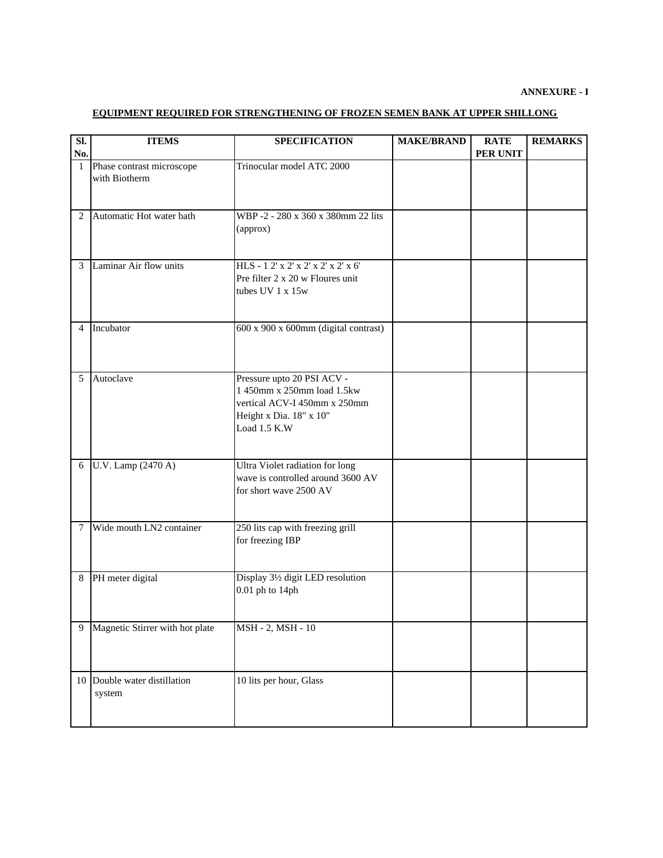## **ANNEXURE - I**

## **EQUIPMENT REQUIRED FOR STRENGTHENING OF FROZEN SEMEN BANK AT UPPER SHILLONG**

| Sl.<br>No.   | <b>ITEMS</b>                               | <b>SPECIFICATION</b>                                                                                                                | <b>MAKE/BRAND</b> | <b>RATE</b><br>PER UNIT | <b>REMARKS</b> |
|--------------|--------------------------------------------|-------------------------------------------------------------------------------------------------------------------------------------|-------------------|-------------------------|----------------|
| $\mathbf{1}$ | Phase contrast microscope<br>with Biotherm | Trinocular model ATC 2000                                                                                                           |                   |                         |                |
| 2            | Automatic Hot water bath                   | WBP-2-280 x 360 x 380mm 22 lits<br>(approx)                                                                                         |                   |                         |                |
| 3            | Laminar Air flow units                     | HLS-12' x 2' x 2' x 2' x 2' x 6'<br>Pre filter 2 x 20 w Floures unit<br>tubes UV 1 x 15w                                            |                   |                         |                |
| 4            | Incubator                                  | 600 x 900 x 600mm (digital contrast)                                                                                                |                   |                         |                |
| 5            | Autoclave                                  | Pressure upto 20 PSI ACV -<br>1 450mm x 250mm load 1.5kw<br>vertical ACV-I 450mm x 250mm<br>Height x Dia. 18" x 10"<br>Load 1.5 K.W |                   |                         |                |
| 6            | U.V. Lamp (2470 A)                         | Ultra Violet radiation for long<br>wave is controlled around 3600 AV<br>for short wave 2500 AV                                      |                   |                         |                |
| 7            | Wide mouth LN2 container                   | 250 lits cap with freezing grill<br>for freezing IBP                                                                                |                   |                         |                |
| 8            | PH meter digital                           | Display 31/2 digit LED resolution<br>$0.01$ ph to $14$ ph                                                                           |                   |                         |                |
| 9            | Magnetic Stirrer with hot plate            | MSH - 2, MSH - 10                                                                                                                   |                   |                         |                |
|              | 10 Double water distillation<br>system     | 10 lits per hour, Glass                                                                                                             |                   |                         |                |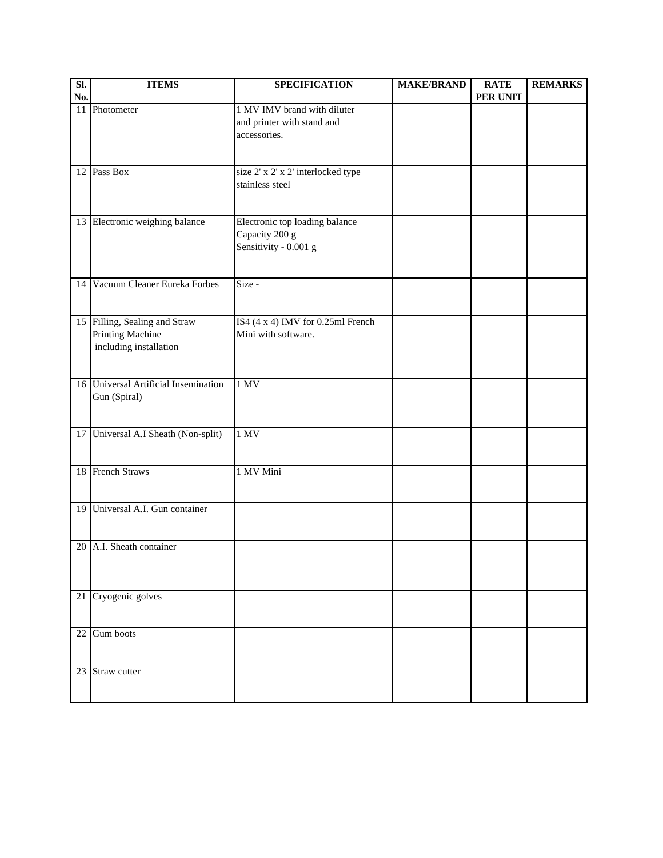| SI. | <b>ITEMS</b>                                                                | <b>SPECIFICATION</b>                                                      | <b>MAKE/BRAND</b> | <b>RATE</b> | <b>REMARKS</b> |
|-----|-----------------------------------------------------------------------------|---------------------------------------------------------------------------|-------------------|-------------|----------------|
| No. |                                                                             |                                                                           |                   | PER UNIT    |                |
|     | 11 Photometer                                                               | 1 MV IMV brand with diluter<br>and printer with stand and<br>accessories. |                   |             |                |
|     | 12 Pass Box                                                                 | size 2' x 2' x 2' interlocked type<br>stainless steel                     |                   |             |                |
|     | 13 Electronic weighing balance                                              | Electronic top loading balance<br>Capacity 200 g<br>Sensitivity - 0.001 g |                   |             |                |
|     | 14 Vacuum Cleaner Eureka Forbes                                             | Size -                                                                    |                   |             |                |
|     | 15 Filling, Sealing and Straw<br>Printing Machine<br>including installation | IS4 (4 x 4) IMV for 0.25ml French<br>Mini with software.                  |                   |             |                |
|     | 16 Universal Artificial Insemination<br>Gun (Spiral)                        | 1 MV                                                                      |                   |             |                |
|     | 17 Universal A.I Sheath (Non-split)                                         | 1 MV                                                                      |                   |             |                |
|     | 18 French Straws                                                            | 1 MV Mini                                                                 |                   |             |                |
|     | 19 Universal A.I. Gun container                                             |                                                                           |                   |             |                |
| 20  | A.I. Sheath container                                                       |                                                                           |                   |             |                |
|     | 21 Cryogenic golves                                                         |                                                                           |                   |             |                |
|     | 22 Gum boots                                                                |                                                                           |                   |             |                |
|     | 23 Straw cutter                                                             |                                                                           |                   |             |                |